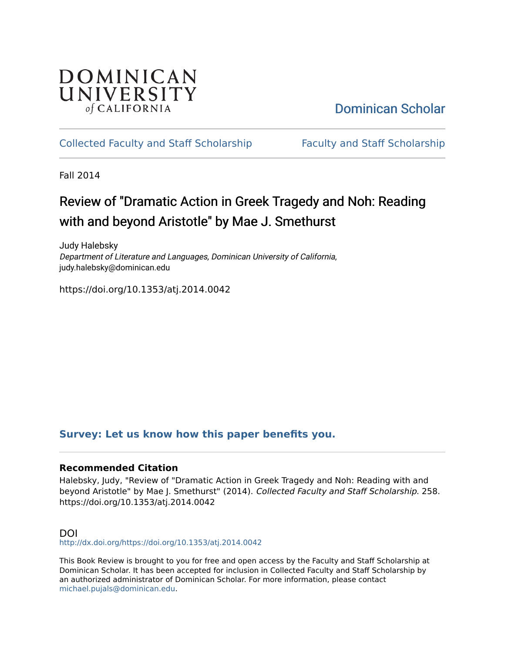

[Dominican Scholar](https://scholar.dominican.edu/) 

[Collected Faculty and Staff Scholarship](https://scholar.dominican.edu/all-faculty) [Faculty and Staff Scholarship](https://scholar.dominican.edu/faculty-scholarship) 

Fall 2014

# Review of "Dramatic Action in Greek Tragedy and Noh: Reading with and beyond Aristotle" by Mae J. Smethurst

Judy Halebsky Department of Literature and Languages, Dominican University of California, judy.halebsky@dominican.edu

https://doi.org/10.1353/atj.2014.0042

## **[Survey: Let us know how this paper benefits you.](https://dominican.libwizard.com/dominican-scholar-feedback)**

### **Recommended Citation**

Halebsky, Judy, "Review of "Dramatic Action in Greek Tragedy and Noh: Reading with and beyond Aristotle" by Mae J. Smethurst" (2014). Collected Faculty and Staff Scholarship. 258. https://doi.org/10.1353/atj.2014.0042

#### DOI

<http://dx.doi.org/https://doi.org/10.1353/atj.2014.0042>

This Book Review is brought to you for free and open access by the Faculty and Staff Scholarship at Dominican Scholar. It has been accepted for inclusion in Collected Faculty and Staff Scholarship by an authorized administrator of Dominican Scholar. For more information, please contact [michael.pujals@dominican.edu.](mailto:michael.pujals@dominican.edu)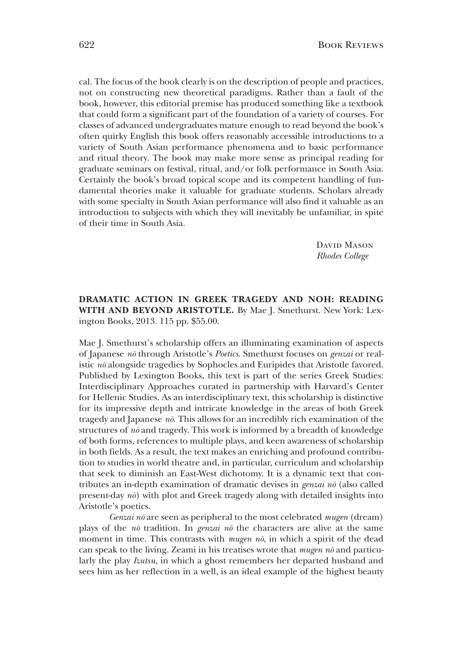cal. The focus of the book clearly is on the description of people and practices, not on constructing new theoretical paradigms. Rather than a fault of the book, however, this editorial premise has produced something like a textbook that could form a significant part of the foundation of a variety of courses. For classes of advanced undergraduates mature enough to read beyond the book's often quirky English this book offers reasonably accessible introductions to a variety of South Asian performance phenomena and to basic performance and ritual theory. The book may make more sense as principal reading for graduate seminars on festival, ritual, and/or folk performance in South Asia. Certainly the book's broad topical scope and its competent handling of fundamental theories make it valuable for graduate students. Scholars already with some specialty in South Asian performance will also find it valuable as an introduction to subjects with which they will inevitably be unfamiliar, in spite of their time in South Asia.

> DAVID MASON *Rhodes College*

#### **DRAMATIC ACTION IN GREEK TRAGEDY AND NOH: READING WITH AND BEYOND ARISTOTLE.** By Mae J. Smethurst. New York: Lexington Books, 2013. 115 pp. \$55.00.

Mae J. Smethurst's scholarship offers an illuminating examination of aspects of Japanese *nō* through Aristotle's *Poetics*. Smethurst focuses on *genzai* or realistic *nō* alongside tragedies by Sophocles and Euripides that Aristotle favored. Published by Lexington Books, this text is part of the series Greek Studies: Interdisciplinary Approaches curated in partnership with Harvard's Center for Hellenic Studies. As an interdisciplinary text, this scholarship is distinctive for its impressive depth and intricate knowledge in the areas of both Greek tragedy and Japanese *nō*. This allows for an incredibly rich examination of the structures of *nō* and tragedy. This work is informed by a breadth of knowledge of both forms, references to multiple plays, and keen awareness of scholarship in both fields. As a result, the text makes an enriching and profound contribution to studies in world theatre and, in particular, curriculum and scholarship that seek to diminish an East-West dichotomy. It is a dynamic text that contributes an in-depth examination of dramatic devises in *genzai nō* (also called present-day *nō*) with plot and Greek tragedy along with detailed insights into Aristotle's poetics.

*Genzai nō* are seen as peripheral to the most celebrated *mugen* (dream) plays of the *nō* tradition. In *genzai nō* the characters are alive at the same moment in time. This contrasts with *mugen nō*, in which a spirit of the dead can speak to the living. Zeami in his treatises wrote that *mugen nō* and particularly the play *Izutsu*, in which a ghost remembers her departed husband and sees him as her reflection in a well, is an ideal example of the highest beauty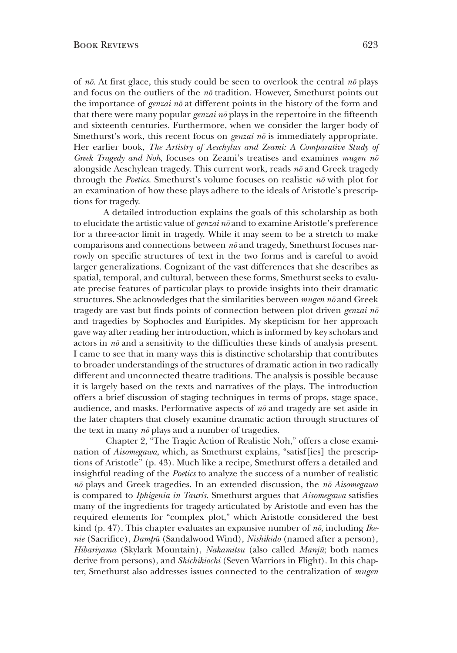of *nō*. At first glace, this study could be seen to overlook the central *nō* plays and focus on the outliers of the *nō* tradition. However, Smethurst points out the importance of *genzai nō* at different points in the history of the form and that there were many popular *genzai nō* plays in the repertoire in the fifteenth and sixteenth centuries. Furthermore, when we consider the larger body of Smethurst's work, this recent focus on *genzai nō* is immediately appropriate. Her earlier book, *The Artistry of Aeschylus and Zeami: A Comparative Study of Greek Tragedy and Noh*, focuses on Zeami's treatises and examines *mugen nō* alongside Aeschylean tragedy. This current work, reads *nō* and Greek tragedy through the *Poetics*. Smethurst's volume focuses on realistic *nō* with plot for an examination of how these plays adhere to the ideals of Aristotle's prescriptions for tragedy.

A detailed introduction explains the goals of this scholarship as both to elucidate the artistic value of *genzai nō* and to examine Aristotle's preference for a three-actor limit in tragedy. While it may seem to be a stretch to make comparisons and connections between *nō* and tragedy, Smethurst focuses narrowly on specific structures of text in the two forms and is careful to avoid larger generalizations. Cognizant of the vast differences that she describes as spatial, temporal, and cultural, between these forms, Smethurst seeks to evaluate precise features of particular plays to provide insights into their dramatic structures. She acknowledges that the similarities between *mugen nō* and Greek tragedy are vast but finds points of connection between plot driven *genzai nō* and tragedies by Sophocles and Euripides. My skepticism for her approach gave way after reading her introduction, which is informed by key scholars and actors in *nō* and a sensitivity to the difficulties these kinds of analysis present. I came to see that in many ways this is distinctive scholarship that contributes to broader understandings of the structures of dramatic action in two radically different and unconnected theatre traditions. The analysis is possible because it is largely based on the texts and narratives of the plays. The introduction offers a brief discussion of staging techniques in terms of props, stage space, audience, and masks. Performative aspects of *nō* and tragedy are set aside in the later chapters that closely examine dramatic action through structures of the text in many *nō* plays and a number of tragedies.

 Chapter 2, "The Tragic Action of Realistic Noh," offers a close examination of *Aisomegawa*, which, as Smethurst explains, "satisf[ies] the prescriptions of Aristotle" (p. 43). Much like a recipe, Smethurst offers a detailed and insightful reading of the *Poetics* to analyze the success of a number of realistic *nō* plays and Greek tragedies. In an extended discussion, the *nō Aisomegawa* is compared to *Iphigenia in Tauris*. Smethurst argues that *Aisomegawa* satisfies many of the ingredients for tragedy articulated by Aristotle and even has the required elements for "complex plot," which Aristotle considered the best kind (p. 47). This chapter evaluates an expansive number of *nō*, including *Ikenie* (Sacrifice), *Dampū* (Sandalwood Wind), *Nishikido* (named after a person), *Hibariyama* (Skylark Mountain), *Nakamitsu* (also called *Manjū*; both names derive from persons), and *Shichikiochi* (Seven Warriors in Flight). In this chapter, Smethurst also addresses issues connected to the centralization of *mugen*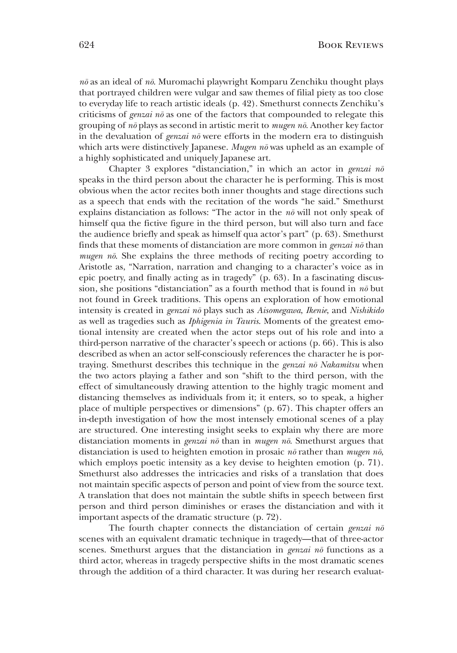*nō* as an ideal of *nō*. Muromachi playwright Komparu Zenchiku thought plays that portrayed children were vulgar and saw themes of filial piety as too close to everyday life to reach artistic ideals (p. 42). Smethurst connects Zenchiku's criticisms of *genzai nō* as one of the factors that compounded to relegate this grouping of *nō* plays as second in artistic merit to *mugen nō*. Another key factor in the devaluation of *genzai nō* were efforts in the modern era to distinguish which arts were distinctively Japanese. *Mugen nō* was upheld as an example of a highly sophisticated and uniquely Japanese art.

Chapter 3 explores "distanciation," in which an actor in *genzai nō* speaks in the third person about the character he is performing. This is most obvious when the actor recites both inner thoughts and stage directions such as a speech that ends with the recitation of the words "he said." Smethurst explains distanciation as follows: "The actor in the *nō* will not only speak of himself qua the fictive figure in the third person, but will also turn and face the audience briefly and speak as himself qua actor's part" (p. 63). Smethurst finds that these moments of distanciation are more common in *genzai nō* than *mugen nō*. She explains the three methods of reciting poetry according to Aristotle as, "Narration, narration and changing to a character's voice as in epic poetry, and finally acting as in tragedy" (p. 63). In a fascinating discussion, she positions "distanciation" as a fourth method that is found in  $n\bar{o}$  but not found in Greek traditions. This opens an exploration of how emotional intensity is created in *genzai nō* plays such as *Aisomegawa*, *Ikenie*, and *Nishikido* as well as tragedies such as *Iphigenia in Tauris*. Moments of the greatest emotional intensity are created when the actor steps out of his role and into a third-person narrative of the character's speech or actions (p. 66). This is also described as when an actor self-consciously references the character he is portraying. Smethurst describes this technique in the *genzai nō Nakamitsu* when the two actors playing a father and son "shift to the third person, with the effect of simultaneously drawing attention to the highly tragic moment and distancing themselves as individuals from it; it enters, so to speak, a higher place of multiple perspectives or dimensions" (p. 67). This chapter offers an in-depth investigation of how the most intensely emotional scenes of a play are structured. One interesting insight seeks to explain why there are more distanciation moments in *genzai nō* than in *mugen nō*. Smethurst argues that distanciation is used to heighten emotion in prosaic *nō* rather than *mugen nō*, which employs poetic intensity as a key devise to heighten emotion (p. 71). Smethurst also addresses the intricacies and risks of a translation that does not maintain specific aspects of person and point of view from the source text. A translation that does not maintain the subtle shifts in speech between first person and third person diminishes or erases the distanciation and with it important aspects of the dramatic structure (p. 72).

The fourth chapter connects the distanciation of certain *genzai nō* scenes with an equivalent dramatic technique in tragedy—that of three-actor scenes. Smethurst argues that the distanciation in *genzai nō* functions as a third actor, whereas in tragedy perspective shifts in the most dramatic scenes through the addition of a third character. It was during her research evaluat